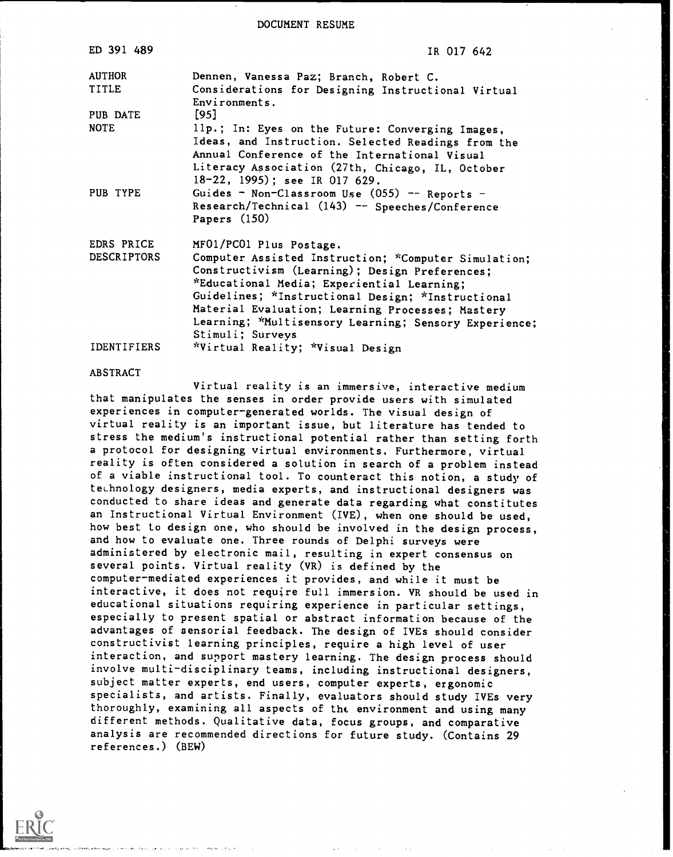DOCUMENT RESUME

| ED 391 489         | IR 017 642                                                                        |
|--------------------|-----------------------------------------------------------------------------------|
| <b>AUTHOR</b>      | Dennen, Vanessa Paz; Branch, Robert C.                                            |
| TITLE              | Considerations for Designing Instructional Virtual<br>Environments.               |
| PUB DATE           | $[95]$                                                                            |
| <b>NOTE</b>        | 11p.; In: Eyes on the Future: Converging Images,                                  |
|                    | Ideas, and Instruction. Selected Readings from the                                |
|                    | Annual Conference of the International Visual                                     |
|                    | Literacy Association (27th, Chicago, IL, October<br>18-22, 1995); see IR 017 629. |
| PUB TYPE           | Guides - Non-Classroom Use (055) -- Reports -                                     |
|                    | Research/Technical (143) -- Speeches/Conference                                   |
|                    | Papers $(150)$                                                                    |
| EDRS PRICE         | MF01/PC01 Plus Postage.                                                           |
| <b>DESCRIPTORS</b> | Computer Assisted Instruction; *Computer Simulation;                              |
|                    | Constructivism (Learning); Design Preferences;                                    |
|                    | *Educational Media; Experiential Learning;                                        |
|                    | Guidelines; *Instructional Design; *Instructional                                 |
|                    | Material Evaluation; Learning Processes; Mastery                                  |
|                    | Learning; *Multisensory Learning; Sensory Experience;                             |
|                    | Stimuli; Surveys                                                                  |
| IDENTIFIERS        | *Virtual Reality; *Visual Design                                                  |

#### ABSTRACT

Virtual reality is an immersive, interactive medium that manipulates the senses in order provide users with simulated experiences in computer-generated worlds. The visual design of virtual reality is an important issue, but literature has tended to stress the medium's instructional potential rather than setting forth a protocol for designing virtual environments. Furthermore, virtual reality is often considered a solution in search of a problem instead of a viable instructional tool. To counteract this notion, a study of technology designers, media experts, and instructional designers was conducted to share ideas and generate data regarding what constitutes an Instructional Virtual Environment (IVE), when one should be used, how best to design one, who should be involved in the design process, and how to evaluate one. Three rounds of Delphi surveys were administered by electronic mail, resulting in expert consensus on several points. Virtual reality (VR) is defined by the computer-mediated experiences it provides, and while it must be interactive, it does not require full immersion. VR should be used in educational situations requiring experience in particular settings, especially to present spatial or abstract information because of the advantages of sensorial feedback. The design of IVEs should consider constructivist learning principles, require a high level of user interaction, and support mastery learning. The design process should involve multi-disciplinary teams, including instructional designers, subject matter experts, end users, computer experts, ergonomic specialists, and artists. Finally, evaluators should study IVEs very thoroughly, examining all aspects of the environment and using many different methods. Qualitative data, focus groups, and comparative analysis are recommended directions for future study. (Contains 29 references.) (BEW)

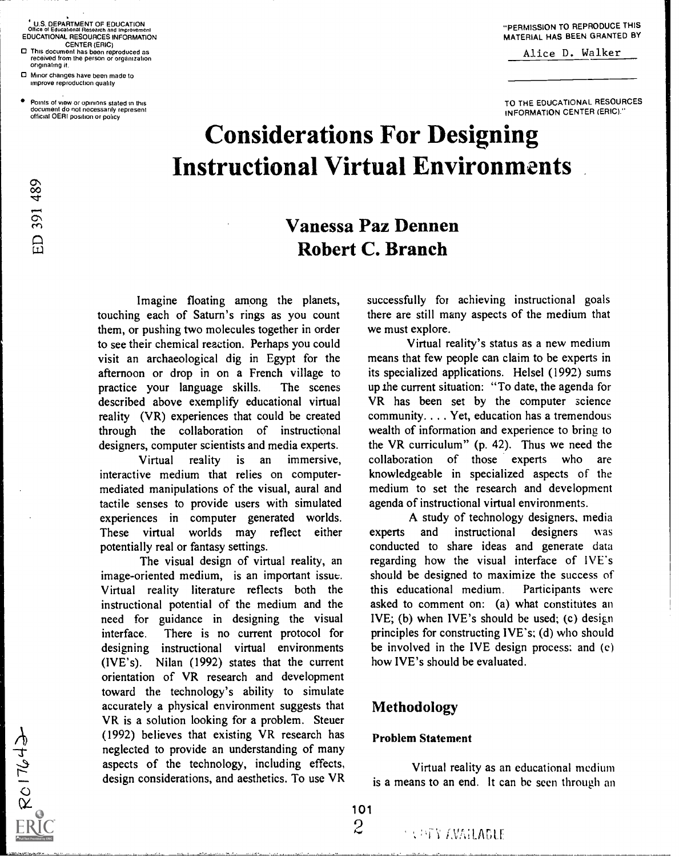U.S. DEPARTMENT OF EDUCATION Office ot Educattonel Research and Improvement EDUCATIONAL RESOURCES INFORMATION CENTER (ERIC)

- O This document has been reproduced as received from the person or organization originating it.
- O Minor changes have been made to improve reproduction quality

ED 391 489

 $ER$ <br> $RC17643$ 

Points of view or opinions stated in this document do not necessarily represent official OERI positron or policy

Alice D. Walker

TO THE EDUCATIONAL RESOURCES INFORMATION CENTER (ERIC)."

# Considerations For Designing Instructional Virtual Environments

## Vanessa Paz Dennen Robert C. Branch

Imagine floating among the planets, touching each of Saturn's rings as you count them, or pushing two molecules together in order to see their chemical reaction. Perhaps you could visit an archaeological dig in Egypt for the afternoon or drop in on a French village to practice your language skills. The scenes described above exemplify educational virtual reality (VR) experiences that could be created through the collaboration of instructional designers, computer scientists and media experts.

Virtual reality is an immersive, interactive medium that relies on computermediated manipulations of the visual, aural and tactile senses to provide users with simulated experiences in computer generated worlds. These virtual worlds may reflect either experts potentially real or fantasy settings.

The visual design of virtual reality, an image-oriented medium, is an important issue:. Virtual reality literature reflects both the instructional potential of the medium and the need for guidance in designing the visual interface. There is no current protocol for designing instructional virtual environments (IVE's). Nilan (1992) states that the current orientation of VR research and development toward the technology's ability to simulate accurately a physical environment suggests that VR is a solution looking for a problem. Steuer (1992) believes that existing VR research has neglected to provide an understanding of many aspects of the technology, including effects, design considerations, and aesthetics. To use VR successfully for achieving instructional goals there are still many aspects of the medium that we must explore.

Virtual reality's status as a new medium means that few people can claim to be experts in its specialized applications. Helsel (1992) sums up ihe current situation: "To date, the agenda for VR has been set by the computer science community. . . . Yet, education has a tremendous wealth of information and experience to bring to the VR curriculum" (p. 42). Thus we need the collaboration of those experts who are knowledgeable in specialized aspects of the medium to set the research and development agenda of instructional virtual environments.

A study of technology designers, media and instructional designers was conducted to share ideas and generate data regarding how the visual interface of IVE's should be designed to maximize the success of this educational medium. Participants were asked to comment on: (a) what constitutes an IVE; (b) when IVE's should be used; (c) design principles for constructing IVE's; (d) who should be involved in the IVE design process; and (e) how IVE's should be evaluated.

## Methodology

## Problem Statement

Virtual reality as an educational medium is a means to an end. It can be seen through an

101  $\overline{2}$ 

**LAGEY AVAILABLE**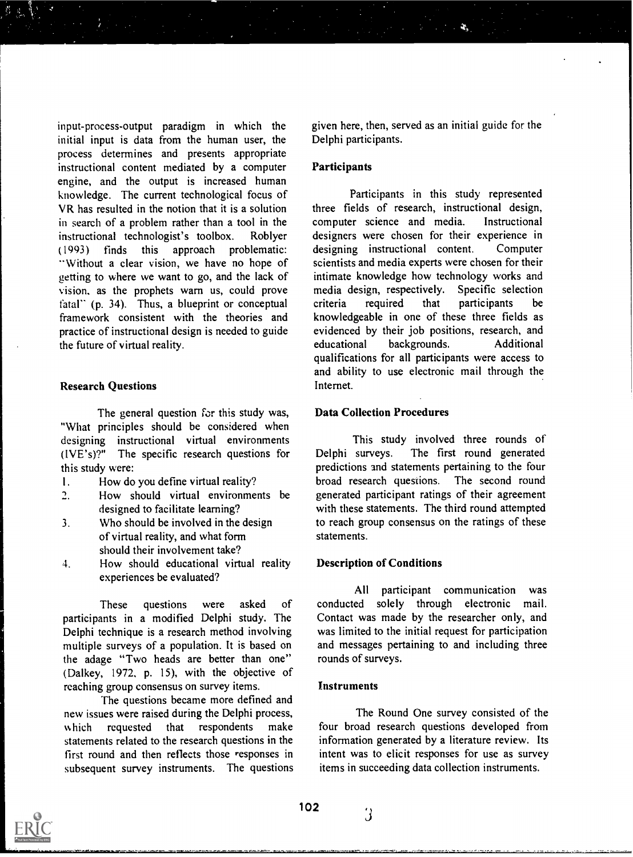input-process-output paradigm in which the initial input is data from the human user, the process determines and presents appropriate instructional content mediated by a computer engine, and the output is increased human knowledge. The current technological focus of VR has resulted in the notion that it is a solution in search of a problem rather than a tool in the instructional technologist's toolbox. Roblyer (1993) finds this approach problematic: "Without a clear vision, we have no hope of getting to where we want to go, and the lack of vision, as the prophets warn us, could prove fatal" (p. 34). Thus, a blueprint or conceptual framework consistent with the theories and practice of instructional design is needed to guide the future of virtual reality.

#### Research Questions

The general question for this study was, "What principles should be considered when designing instructional virtual environments<br>(IVE's)?" The specific research questions for The specific research questions for Delphi surveys. this study were:

- I. How do you define virtual reality?
- 2. How should virtual environments be designed to facilitate learning?
- 3. Who should be involved in the design of virtual reality, and what form should their involvement take?
- 4. How should educational virtual reality experiences be evaluated?

These questions were asked of participants in a modified Delphi study. The Delphi technique is a research method involving multiple surveys of a population. It is based on the adage "Two heads are better than one" (Dalkey, 1972, p. 15), with the objective of reaching group consensus on survey items.

The questions became more defined and new issues were raised during the Delphi process, which requested that respondents make statements related to the research questions in the first round and then reflects those responses in subsequent survey instruments. The questions

given here, then, served as an initial guide for the Delphi participants.

## **Participants**

Participants in this study represented three fields of research, instructional design, computer science and media. Instructional designers were chosen for their experience in designing instructional content. Computer scientists and media experts were chosen for their intimate knowledge how technology works and media design, respectively. Specific selection criteria required that participants be knowledgeable in one of these three fields as evidenced by their job positions, research, and educational backgrounds. Additional qualifications for all participants were access to and ability to use electronic mail through the Internet.

## Data Collection Procedures

This study involved three rounds of The first round generated predictions and statements pertaining to the four broad research questions. The second round generated participant ratings of their agreement with these statements. The third round attempted to reach group consensus on the ratings of these statements.

#### Description of Conditions

All participant communication was conducted solely through electronic mail. Contact was made by the researcher only, and was limited to the initial request for participation and messages pertaining to and including three rounds of surveys.

## Instruments

The Round One survey consisted of the four broad research questions developed from information generated by a literature review. Its intent was to elicit responses for use as survey items in succeeding data collection instruments.

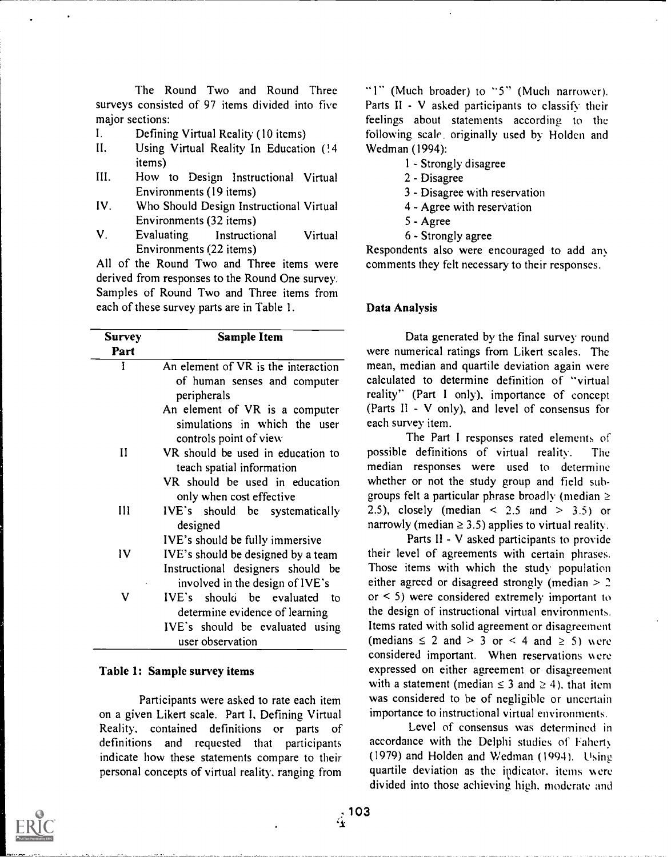The Round Two and Round Three surveys consisted of 97 items divided into five major sections:

- 1. Defining Virtual Reality (10 items)
- II. Using Virtual Reality In Education (14 items)
- How to Design Instructional Virtual III. Environments (19 items)
- IV. Who Should Design Instructional Virtual Environments (32 items)
- V. Evaluating Instructional Virtual Environments (22 items)

All of the Round Two and Three items were derived from responses to the Round One survey. Samples of Round Two and Three items from each of these survey parts are in Table I.

| <b>Survey</b> | <b>Sample Item</b>                                                                        |                    |
|---------------|-------------------------------------------------------------------------------------------|--------------------|
| Part          |                                                                                           | were               |
| I             | An element of VR is the interaction                                                       | mean,              |
|               | of human senses and computer<br>peripherals                                               | calcul<br>reality  |
|               | An element of VR is a computer<br>simulations in which the user<br>controls point of view | (Parts<br>each s   |
| $\mathbf{I}$  | VR should be used in education to<br>teach spatial information                            | possil<br>media    |
|               | VR should be used in education                                                            | wheth<br>group     |
| $\prod$       | only when cost effective                                                                  | $2.5)$ ,           |
|               | IVE's should be systematically<br>designed                                                | narro <sup>.</sup> |
|               | IVE's should be fully immersive                                                           |                    |
| IV            | IVE's should be designed by a team                                                        | their              |
|               | Instructional designers should be<br>involved in the design of IVE's                      | Thoso<br>either    |
| ٧             | IVE's should be evaluated to                                                              | $\alpha$ <         |
|               | determine evidence of learning                                                            | the d              |
|               | IVE's should be evaluated using                                                           | Items              |
|               | user observation                                                                          | (med:              |

## Table 1: Sample survey items

Participants were asked to rate each item on a given Likert scale. Part I, Defining Virtual Reality, contained definitions or parts of definitions and requested that participants indicate how these statements compare to their personal concepts of virtual reality, ranging from

"1" (Much broader) to "5" (Much narrower). Parts II - V asked participants to classify their feelings about statements according to the following scale, originally used by Holden and Wedman (1994):

- 1 Strongly disagree
- 2 Disagree
- 3 Disagree with reservation
- 4 Agree with reservation
- 5 Agree
- 6 Strongly agree

Respondents also were encouraged to add any comments they felt necessary to their responses.

## Data Analysis

Data generated by the final survey round were numerical ratings from Likert scales. The mean, median and quartile deviation again were calculated to determine definition of "virtual reality" (Part <sup>I</sup> only), importance of concept (Parts II - V only), and level of consensus for each survey item.

VR should be used in education whether or not the study group and field sub-The Part I responses rated elements of possible definitions of virtual reality. The median responses were used to determine groups felt a particular phrase broadly (median  $\geq$ 2.5), closely (median  $\leq$  2.5 and  $\geq$  3.5) or narrowly (median  $\ge$  3.5) applies to virtual reality.

IV IVE's should be designed by a team their level of agreements with certain phrases. IVE's should be evaluated using Items rated with solid agreement or disagreement Parts Il - V asked participants to provide Those items with which the study population either agreed or disagreed strongly (median  $>$  2 or < 5) were considered extremely important to the design of instructional virtual environments. (medians  $\leq 2$  and  $> 3$  or  $\leq 4$  and  $\geq 5$ ) were considered important. When reservations were expressed on either agreement or disagreement with a statement (median  $\leq 3$  and  $\geq 4$ ), that item was considered to be of negligible or uncertain importance to instructional virtual environments.

> Level of consensus was determined in accordance with the Delphi studies of Fahert (1979) and Holden and Wedman (1994). Using quartile deviation as the indicator, items were divided into those achieving high, moderate and



 $\frac{1}{4}$ <sup>103</sup>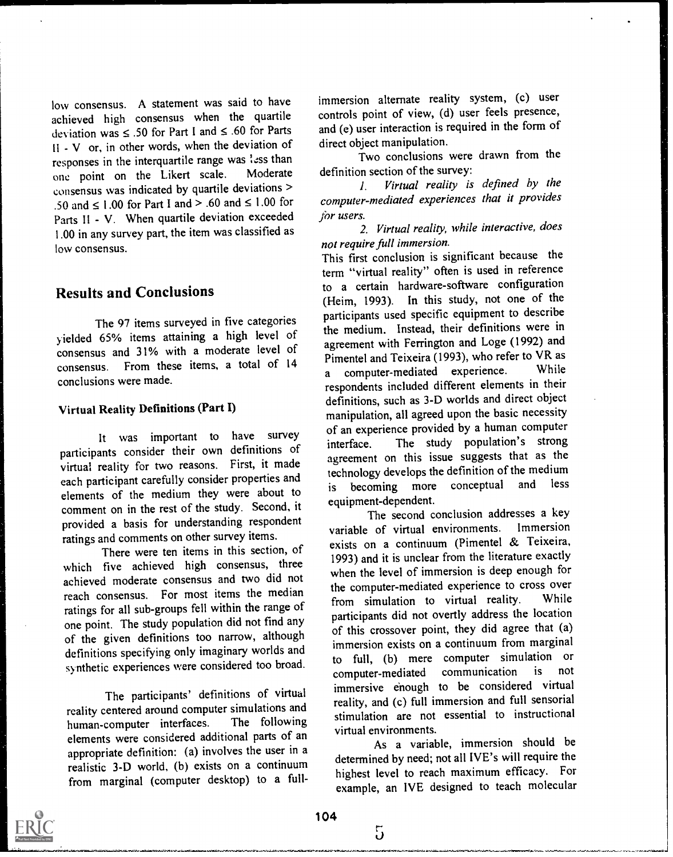low consensus. A statement was said to have achieved high consensus when the quartile deviation was  $\leq$  .50 for Part I and  $\leq$  .60 for Parts II - V or, in other words, when the deviation of responses in the interquartile range was less than<br>one point on the Likert scale. Moderate one point on the Likert scale. consensus was indicated by quartile deviations > .50 and  $\leq$  1.00 for Part I and  $>$  .60 and  $\leq$  1.00 for Parts II - V. When quartile deviation exceeded 1.00 in any survey part, the item was classified as low consensus.

## Results and Conclusions

The 97 items surveyed in five categories y ielded 65% items attaining a high level of consensus and 31% with a moderate level of consensus. From these items, a total of 14 a conclusions were made.

## Virtual Reality Definitions (Part I)

It was important to have survey  $\frac{1}{2}$  or an experiment of the interface. participants consider their own definitions of virtual reality for two reasons. First, it made each participant carefully consider properties and elements of the medium they were about to comment on in the rest of the study. Second, it provided a basis for understanding respondent ratings and comments on other survey items.

There were ten items in this section, of which five achieved high consensus, three achieved moderate consensus and two did not reach consensus. For most items the median ratings for all sub-groups fell within the range of one point. The study population did not find any of the given definitions too narrow, although definitions specifying only imaginary worlds and synthetic experiences were considered too broad.

The participants' definitions of virtual reality centered around computer simulations and<br>human-computer interfaces. The following human-computer interfaces. elements were considered additional parts of an appropriate definition: (a) involves the user in a realistic 3-D world, (b) exists on a continuum from marginal (computer desktop) to a full-

immersion alternate reality system, (c) user controls point of view, (d) user feels presence, and (e) user interaction is required in the form of direct object manipulation.

Two conclusions were drawn from the definition section of the survey:

I. Virtual reality is defined by the computer-mediated experiences that it provides for users.

2. Virtual reality, while interactive, does not require full immersion.

This first conclusion is significant because the term "virtual reality" often is used in reference to a certain hardware-software configuration (Heim, 1993). In this study, not one of the participants used specific equipment to describe the medium. Instead, their definitions were in agreement with Ferrington and Loge (1992) and Pimentel and Teixeira  $(1993)$ , who refer to VR as computer-mediated experience. respondents included different elements in their definitions, such as 3-D worlds and direct object manipulation, all agreed upon the basic necessity of an experience provided by a human computer The study population's strong agreement on this issue suggests that as the technology develops the definition of the medium<br>is becoming more conceptual and less is becoming more conceptual equipment-dependent.

The second conclusion addresses a key<br>of virtual environments. Immersion variable of virtual environments. exists on a continuum (Pimentel & Teixeira, 1993) and it is unclear from the literature exactly when the level of immersion is deep enough for the computer-mediated experience to cross over<br>from simulation to virtual reality. While from simulation to virtual reality. participants did not overtly address the location of this crossover point, they did agree that (a) immersion exists on a continuum from marginal to full, (b) mere computer simulation or<br>computer-mediated communication is not computer-mediated communication immersive enough to be considered virtual reality, and (c) full immersion and full sensorial stimulation are not essential to instructional virtual environments.

As a variable, immersion should be determined by need; not all IVE's will require the highest level to reach maximum efficacy. For example, an IVE designed to teach molecular



5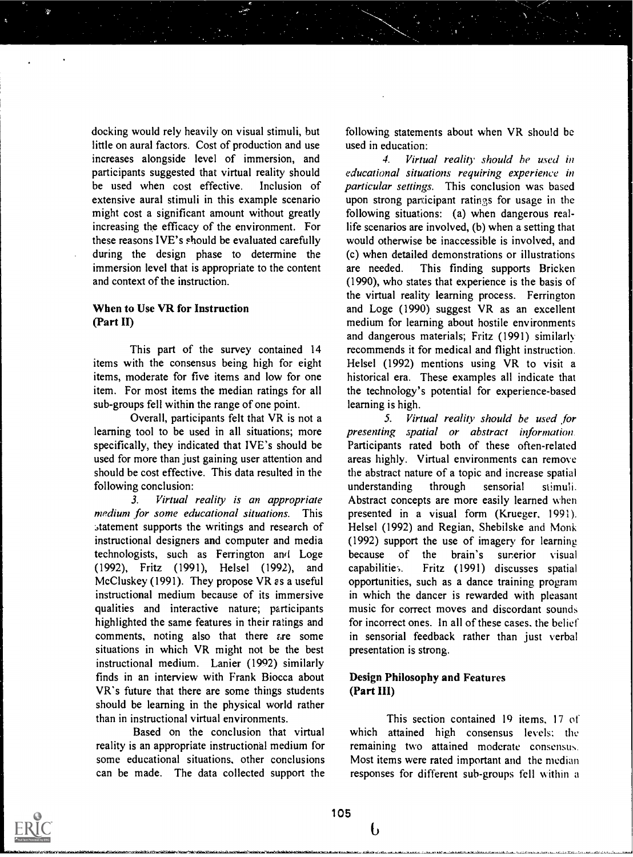docking would rely heavily on visual stimuli, but little on aural factors. Cost of production and use increases alongside level of immersion, and participants suggested that virtual reality should be used when cost effective. Inclusion of extensive aural stimuli in this example scenario might cost a significant amount without greatly increasing the efficacy of the environment. For these reasons IVE's should be evaluated carefully during the design phase to determine the immersion level that is appropriate to the content are needed. and context of the instruction.

## When to Use VR for Instruction (Part II)

This part of the survey contained 14 items with the consensus being high for eight items, moderate for five items and low for one item. For most items the median ratings for all sub-groups fell within the range of one point.

Overall, participants felt that VR is not a learning tool to be used in all situations; more specifically, they indicated that IVE's should be used for more than just gaining user attention and should be cost effective. This data resulted in the following conclusion:

3. Virtual reality is an appropriate medium for some educational situations. This .,tatement supports the writings and research of instructional designers and computer and media technologists, such as Ferrington and Loge because (1992), Fritz (1991), Helsel (1992), and McCluskey (1991). They propose VR as a useful instructional medium because of its imrnersive qualities and interactive nature; participants highlighted the same features in their ratings and comments, noting also that there  $are$  some situations in which VR might not be the best instructional medium. Lanier (1992) similarly finds in an interview with Frank Biocca about VR's future that there are some things students should be learning in the physical world rather than in instructional virtual environments.

Based on the conclusion that virtual reality is an appropriate instructional medium for some educational situations, other conclusions can be made. The data collected support the following statements about when VR should be used in education:

4. Virtual reality should he used in educational situations requiring experience in particular settings. This conclusion was based upon strong participant ratings for usage in the following situations: (a) when dangerous reallife scenarios are involved, (b) when a setting that would otherwise be inaccessible is involved, and (c) when detailed demonstrations or illustrations This finding supports Bricken (1990), who states that experience is the basis of the virtual reality learning process. Ferrington and Loge (1990) suggest VR as an excellent medium for learning about hostile environments and dangerous materials; Fritz (1991) similarly recommends it for medical and flight instruction. Helsel (1992) mentions using VR to visit a historical era. These examples all indicate that the technology's potential for experience-based learning is high.

5. Virtual reality should be used for presenting spatial or abstract information Participants rated both of these often-related areas highly. Virtual environments can remove the abstract nature of a topic and increase spatial understanding through sensorial stimuli. Abstract concepts are more easily learned when presented in a visual form (Krueger, 1991). Helsel (1992) and Regian, Shebilske and Monk (1992) support the use of imagery for learning of the brain's surerior visual Fritz (1991) discusses spatial opportunities, such as a dance training program in which the dancer is rewarded with pleasant music for correct moves and discordant sounds for incorrect ones. In all of these cases, the belief in sensorial feedback rather than just verbal presentation is strong.

## Design Philosophy and Features (Part III)

This section contained 19 items, 17 of which attained high consensus levels: the remaining two attained moderate consensus. Most items were rated important and the median responses for different sub-groups fell within a



b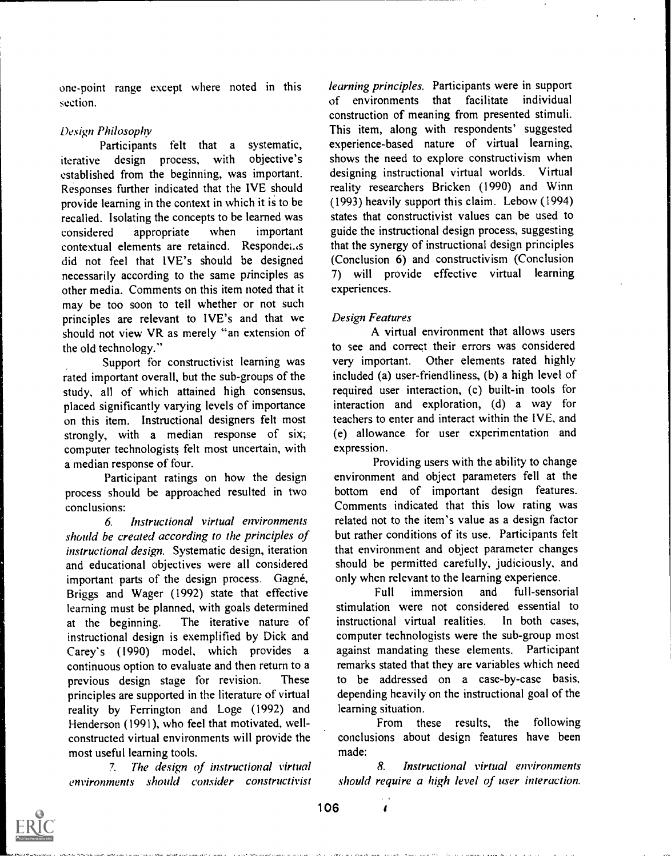one-point range except where noted in this section.

## Design Philosophy

Participants felt that a systematic,<br>
edesign process, with objective's iterative design process, with established from the beginning, was important. Responses further indicated that the IVE should provide learning in the context in which it is to be recalled. Isolating the concepts to be learned was considered appropriate when important contextual elements are retained. Respondet.,s did not feel that 1VE's should be designed necessarily according to the same principles as other media. Comments on this item noted that it may be too soon to tell whether or not such principles are relevant to IVE's and that we should not view VR as merely "an extension of the old technology."

Support for constructivist learning was rated important overall, but the sub-groups of the study, all of which attained high consensus, placed significantly varying levels of importance on this item. Instructional designers felt most strongly, with <sup>a</sup> median response of six; computer technologists felt most uncertain, with a median response of four.

Participant ratings on how the design process should be approached resulted in two conclusions:

6. Instructional virtual environments should be created according to the principles of instructional design. Systematic design, iteration and educational objectives were all considered important parts of the design process. Gagné, Briggs and Wager (1992) state that effective learning must be planned, with goals determined at the beginning. The iterative nature of instructional design is exemplified by Dick and Carey's (1990) model, which provides a continuous option to evaluate and then return to a previous design stage for revision. These principles are supported in the literature of virtual reality by Ferrington and Loge (1992) and Henderson (1991), who feel that motivated, wellconstructed virtual environments will provide the most useful learning tools.

7. The design of instructional virtual environments should consider constructivist learning principles. Participants were in support of environments that facilitate individual construction of meaning from presented stimuli. This item, along with respondents' suggested experience-based nature of virtual learning, shows the need to explore constructivism when designing instructional virtual worlds. Virtual reality researchers Bricken (1990) and Winn (1993) heavily support this claim. Lebow (1994) states that constructivist values can be used to guide the instructional design process, suggesting that the synergy of instructional design principles (Conclusion 6) and constructivism (Conclusion 7) will provide effective virtual learning experiences.

## Design Features

A virtual environment that allows users to see and correct their errors was considered very important. Other elements rated highly included (a) user-friendliness, (b) a high level of required user interaction, (c) built-in tools for interaction and exploration, (d) <sup>a</sup> way for teachers to enter and interact within the IVE, and (e) allowance for user experimentation and expression.

Providing users with the ability to change environment and object parameters fell at the bottom end of important design features. Comments indicated that this low rating was related not to the item's value as a design factor but rather conditions of its use. Participants felt that environment and object parameter changes should be permitted carefully, judiciously, and only when relevant to the learning experience.

Full immersion and full-sensorial stimulation were not considered essential to instructional virtual realities. In both cases, computer technologists were the sub-group most against mandating these elements. Participant remarks stated that they are variables which need to be addressed on a case-by-case basis, depending heavily on the instructional goal of the learning situation.

From these results, the following conclusions about design features have been made:

8. Instructional virtual environments should require a high level of user interaction.



 $\epsilon$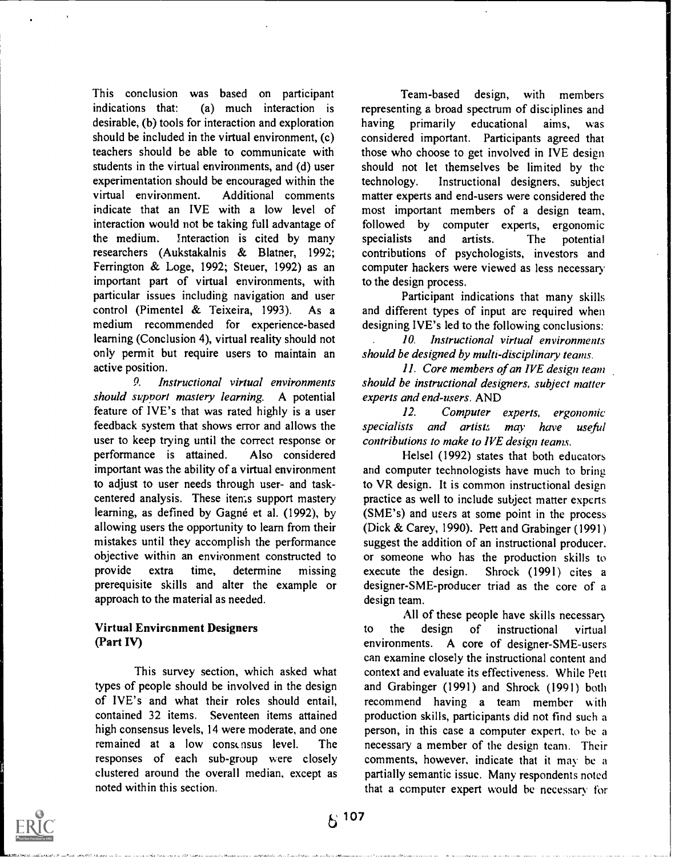This conclusion was based on participant indications that: (a) much interaction is desirable, (b) tools for interaction and exploration should be included in the virtual environment, (c) teachers should be able to communicate with students in the virtual environments, and (d) user experimentation should be encouraged within the virtual environment. Additional comments indicate that an IVE with a low level of interaction would not be taking full advantage of the medium. Interaction is cited by many researchers (Aukstakalnis & Blatner, 1992; Ferrington & Loge, 1992; Steuer, 1992) as an important part of virtual environments, with particular issues including navigation and user control (Pimentel & Teixeira, 1993). As a medium recommended for experience-based learning (Conclusion 4), virtual reality should not only permit but require users to maintain an active position.

9. Instructional virtual environments should svpport mastery learning. A potential feature of IVE's that was rated highly is a user feedback system that shows error and allows the user to keep trying until the correct response or performance is attained. Also considered important was the ability of a virtual environment to adjust to user needs through user- and taskcentered analysis. These items support mastery learning, as defined by Gagné et al. (1992), by allowing users the opportunity to learn from their mistakes until they accomplish the performance objective within an environment constructed to provide extra time, determine missing prerequisite skills and alter the example or approach to the material as needed.

## Virtual Environment Designers (Part IV)

This survey section, which asked what types of people should be involved in the design of IVE's and what their roles should entail, contained 32 items. Seventeen items attained high consensus levels, 14 were moderate, and one remained at a low consensus level. The responses of each sub-group were closely clustered around the overall median, except as noted within this section.

Team-based design, with members representing a broad spectrum of disciplines and having primarily educational aims, was considered important. Participants agreed that those who choose to get involved in IVE design should not let themselves be limited by the Instructional designers, subject matter experts and end-users were considered the most important members of a design team, followed by computer experts, ergonomic specialists and artists. The potential contributions of psychologists, investors and computer hackers were viewed as less necessary to the design process.

Participant indications that many skills and different types of input are required when designing IVE's led to the following conclusions:

10. Instructional virtual environments should be designed by multi-disciplinary teams.

11. Core members of an IVE design team should be instructional designers, subject matter experts and end-users. AND

12. Computer experts, ergonomic specialists and artists may have useful contributions to make to IVE design teams.

Helsel (1992) states that both educators and computer technologists have much to bring to VR design. It is common instructional design practice as well to include subject matter experts (SME's) and users at some point in the process (Dick & Carey, 1990). Pett and Grabinger (1991) suggest the addition of an instructional producer. or someone who has the production skills to Shrock (1991) cites a designer-SME-producer triad as the core of a design team.

All of these people have skills necessar to the design of instructional virtual environments. A core of designer-SME-users can examine closely the instructional content and context and evaluate its effectiveness. While Pett and Grabinger (1991) and Shrock (1991) both recommend having a team member with production skills, participants did not find such a person, in this case a computer expert, to be a necessary a member of the design team. Their comments, however, indicate that it may be a partially semantic issue. Many respondents noted that a computer expert would be necessary for

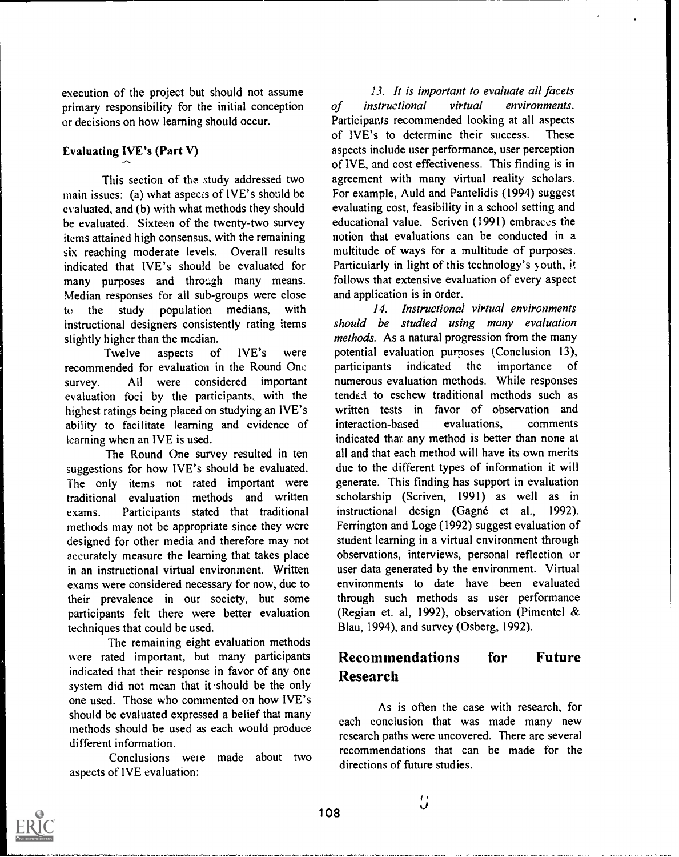execution of the project but should not assume primary responsibility for the initial conception of *instructional* or decisions on how learning should occur.

## Evaluating 1VE's (Part V)

This section of the study addressed two main issues: (a) what aspeccs of IVE's should be evaluated, and (b) with what methods they should be evaluated. Sixteen of the twenty-two survey items attained high consensus, with the remaining six reaching moderate levels. Overall results indicated that IVE's should be evaluated for many purposes and through many means. Median responses for all sub-groups were close to the study population medians, with instructional designers consistently rating items slightly higher than the median.

Twelve aspects of IVE's were potential ev<br>ended for evaluation in the Round One participants recommended for evaluation in the Round One survey. All were considered important evaluation foci by the participants, with the highest ratings being placed on studying an IVE's ability to facilitate learning and evidence of learning when an IVE is used.

The Round One survey resulted in ten suggestions for how IVE's should be evaluated. The only items not rated important were traditional evaluation methods and written exams. Participants stated that traditional methods may not be appropriate since they were designed for other media and therefore may not accurately measure the learning that takes place in an instructional virtual environment. Written exams were considered necessary for now, due to their prevalence in our society, but some participants felt there were better evaluation techniques that could be used.

The remaining eight evaluation methods were rated important, but many participants indicated that their response in favor of any one system did not mean that it should be the only one used. Those who commented on how IVE's should be evaluated expressed a belief that many methods should be used as each would produce different information.

Conclusions weie made about two aspects of IVE evaluation:

13. It is important to evaluate all facets virtual environments. Participants recommended looking at all aspects<br>of IVE's to determine their success. These of IVE's to determine their success. aspects include user performance, user perception of IVE, and cost effectiveness. This finding is in agreement with many virtual reality scholars. For example, Auld and Pantelidis (1994) suggest evaluating cost, feasibility in a school setting and educational value. Scriven (1991) embraces the notion that evaluations can be conducted in a multitude of ways for a multitude of purposes. Particularly in light of this technology's y outh, it follows that extensive evaluation of every aspect and application is in order.

14. Instructional virtual environments should be studied using many evaluation methods. As a natural progression from the many potential evaluation purposes (Conclusion 13),<br>participants indicated the importance of indicated the importance of numerous evaluation methods. While responses tended to eschew traditional methods such as written tests in favor of observation and interaction-based evaluations, comments indicated that any method is better than none at all and that each method will have its own merits due to the different types of information it will generate. This finding has support in evaluation scholarship (Scriven, 1991) as well as in instructional design (Gagné et al., 1992). Ferrington and Loge (1992) suggest evaluation of student learning in a virtual environment through observations, interviews, personal reflection or user data generated by the environment. Virtual environments to date have been evaluated through such methods as user performance (Regian et. al, 1992), observation (Pimentel & Blau, 1994), and survey (Osberg, 1992).

## Recommendations for Future Research

As is often the case with research, for each conclusion that was made many new research paths were uncovered. There are several recommendations that can be made for the directions of future studies.

 $\overline{U}$ 

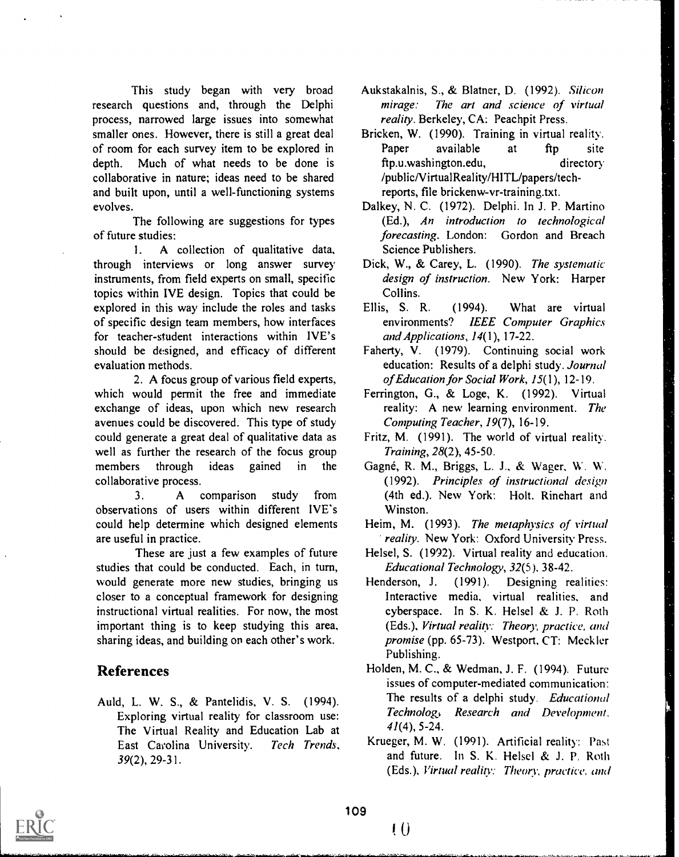This study began with very broad research questions and, through the Delphi process, narrowed large issues into somewhat smaller ones. However, there is still a great deal of room for each survey item to be explored in depth. Much of what needs to be done is collaborative in nature; ideas need to be shared and built upon, until a well-functioning systems evolves.

The following are suggestions for types of future studies:

1. A collection of qualitative data, through interviews or long answer survey instruments, from field experts on small, specific topics within IVE design. Topics that could be explored in this way include the roles and tasks Ellis, S. R. of specific design team members, how interfaces for teacher-student interactions within IVE's should be designed, and efficacy of different evaluation methods.

2. A focus group of various field experts, which would permit the free and immediate exchange of ideas, upon which new research avenues could be discovered. This type of study could generate a great deal of qualitative data as well as further the research of the focus group members through ideas gained in the collaborative process.

3. A comparison study from observations of users within different IVE's could help determine which designed elements are useful in practice.

These are just a few examples of future studies that could be conducted. Each, in turn, would generate more new studies, bringing us Henderson, J. closer to a conceptual framework for designing instructional virtual realities. For now, the most important thing is to keep studying this area. sharing ideas, and building on each other's work.

## References

Auld, L. W. S., & Pantelidis, V. S. (1994). Exploring virtual reality for classroom use: The Virtual Reality and Education Lab at East Carolina University. Tech Trends, 39(2), 29-31.

- Aukstakalnis, S., & Blatner, D. (1992). Silicon mirage: The art and science of virtual reality. Berkeley, CA: Peachpit Press.
- Bricken, W. (1990). Training in virtual reality. available at ftp site ftp.u.washington.edu, directory /publicNirtualReality/HITL/papers/techreports, file brickenw-vr-training.txt.
- Dalkey, N. C. (1972). Delphi. In J. P. Martino (Ed.), An introduction to technological forecasting. London: Gordon and Breach Science Publishers.
- Dick, W., & Carey, L. (1990). The systematic design of instruction. New York: Harper Collins.
- (1994). What are virtual environments? IEEE Computer Graphics and Applications, 14(1), 17-22.
- Faherty, V. (1979). Continuing social work education: Results of a delphi study. Journal of Education for Social Work, 15(1), 12-19.
- Ferrington, G., & Loge, K. (1992). Virtual reality: A new learning environment. The Computing Teacher, 19(7), 16-19.
- Fritz, M. (1991). The world of virtual reality. Training, 28(2), 45-50.
- Gagné, R. M., Briggs, L. J., & Wager, W. W. (1992). Principles of instructional design (4th ed.). New York: Holt. Rinehart and Winston.
- Heim, M. (1993). The metaphysics of virtual reality. New York: Oxford University Press.
- Helsel, S. (1992). Virtual reality and education. Educational Technology, 32(5). 38-42.
- (1991). Designing realities: Interactive media, virtual realities, and cyberspace. In S. K. Helsel & J. P. Roth (Eds.), Virtual reality: Theory, practice, and promise (pp. 65-73). Westport, CT: Meckler Publishing.
- Holden, M. C., & Wedman, J. F. (1994). Future issues of computer-mediated communication: The results of a delphi study. Educational Technolog, Research and Development.  $41(4)$ , 5-24.
- Krueger, M. W. (1991). Artificial reality: Past and future. In S. K. Helsel & J. P. Roth (Eds.), Virtual reality: Theory, practice, and



t O